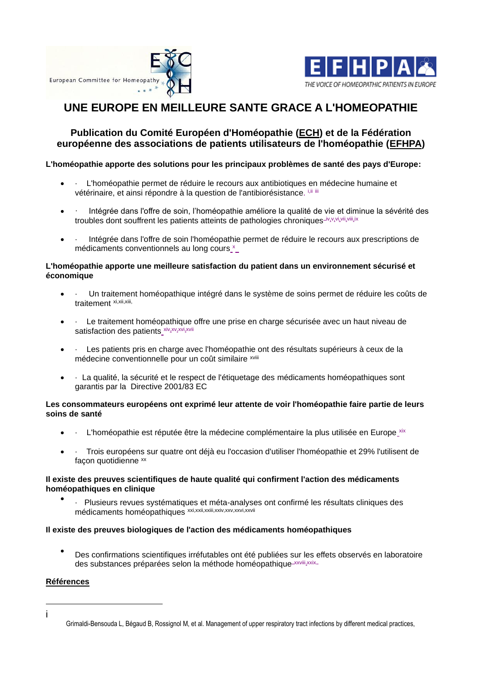



# **UNE EUROPE EN MEILLEURE SANTE GRACE A L'HOMEOPATHIE**

## **Publication du Comité Européen d'Homéopathie [\(ECH\)](http://www.homeopathyeurope.org/) et de la Fédération européenne des associations de patients utilisateurs de l'homéopathie [\(EFHPA\)](http://www.efhpa.eu/)**

## **L'homéopathie apporte des solutions pour les principaux problèmes de santé des pays d'Europe:**

- L'homéopathie permet de réduire le recours aux antibiotiques en médecine humaine et vétérinaire, et ainsi répondre à la question de l'antibiorésistance. i,ii iii
- · Intégrée dans l'offre de soin, l'homéopathie améliore la qualité de vie et diminue la sévérité des troubles dont souffrent les patients atteints de pathologies chroniques-iv,v,vi,vii,vii,jix
- · Intégrée dans l'offre de soin l'homéopathie permet de réduire le recours aux prescriptions de médicaments conventionnels au long cours\_x

## **L'homéopathie apporte une meilleure satisfaction du patient dans un environnement sécurisé et économique**

- · Un traitement homéopathique intégré dans le système de soins permet de réduire les coûts de traitement xi,xii,xiii,
- · Le traitement homéopathique offre une prise en charge sécurisée avec un haut niveau de satisfaction des patients xiv,xv,xvi,xvii
- · Les patients pris en charge avec l'homéopathie ont des résultats supérieurs à ceux de la médecine conventionnelle pour un coût similaire xviii
- · La qualité, la sécurité et le respect de l'étiquetage des médicaments homéopathiques sont garantis par la Directive 2001/83 EC

## **Les consommateurs européens ont exprimé leur attente de voir l'homéopathie faire partie de leurs soins de santé**

- $\bullet$   $\cdot$  L'homéopathie est réputée être la médecine complémentaire la plus utilisée en Europe  $\frac{1}{x}$
- · Trois européens sur quatre ont déjà eu l'occasion d'utiliser l'homéopathie et 29% l'utilisent de facon quotidienne xx

## **Il existe des preuves scientifiques de haute qualité qui confirment l'action des médicaments homéopathiques en clinique**

• · Plusieurs revues systématiques et méta-analyses ont confirmé les résultats cliniques des médicaments homéopathiques xxi,xxii,xxii,xxiv,xxv,xxvi,xxvii

## **Il existe des preuves biologiques de l'action des médicaments homéopathiques**

• Des confirmations scientifiques irréfutables ont été publiées sur les effets observés en laboratoire des substances préparées selon la méthode homéopathique-xxviii,xxix-

## **Références**

i

Grimaldi-Bensouda L, Bégaud B, Rossignol M, et al. Management of upper respiratory tract infections by different medical practices,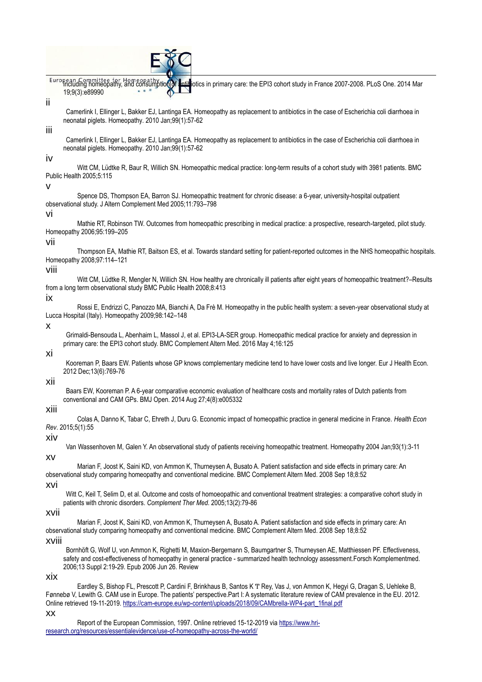|  | E 8C |  |
|--|------|--|
|  |      |  |

European, Committee for Homeopathy, and consumption of antibiotics in primary care: the EPI3 cohort study in France 2007-2008. PLoS One. 2014 Mar 19;9(3):e89990

## ii

Camerlink I, Ellinger L, Bakker EJ, Lantinga EA. Homeopathy as replacement to antibiotics in the case of Escherichia coli diarrhoea in neonatal piglets. Homeopathy. 2010 Jan;99(1):57-62

## iii

Camerlink I, Ellinger L, Bakker EJ, Lantinga EA. Homeopathy as replacement to antibiotics in the case of Escherichia coli diarrhoea in neonatal piglets. Homeopathy. 2010 Jan;99(1):57-62

#### iv

Witt CM, Lüdtke R, Baur R, Willich SN. Homeopathic medical practice: long-term results of a cohort study with 3981 patients. BMC Public Health 2005;5:115

#### v

Spence DS, Thompson EA, Barron SJ. Homeopathic treatment for chronic disease: a 6-year, university-hospital outpatient observational study. J Altern Complement Med 2005;11:793–798

#### vi

Mathie RT, Robinson TW. Outcomes from homeopathic prescribing in medical practice: a prospective, research-targeted, pilot study. Homeopathy 2006;95:199–205

#### vii

Thompson EA, Mathie RT, Baitson ES, et al. Towards standard setting for patient-reported outcomes in the NHS homeopathic hospitals. Homeopathy 2008;97:114–121

#### viii

Witt CM, Lüdtke R, Mengler N, Willich SN. How healthy are chronically ill patients after eight years of homeopathic treatment?–Results from a long term observational study BMC Public Health 2008;8:413

#### ix

Rossi E, Endrizzi C, Panozzo MA, Bianchi A, Da Frè M. Homeopathy in the public health system: a seven-year observational study at Lucca Hospital (Italy). Homeopathy 2009;98:142–148

#### x

Grimaldi-Bensouda L, Abenhaim L, Massol J, et al. EPI3-LA-SER group. Homeopathic medical practice for anxiety and depression in primary care: the EPI3 cohort study. BMC Complement Altern Med. 2016 May 4;16:125

#### xi

Kooreman P, Baars EW. Patients whose GP knows complementary medicine tend to have lower costs and live longer. Eur J Health Econ. 2012 Dec;13(6):769-76

#### xii

Baars EW, Kooreman P. A 6-year comparative economic evaluation of healthcare costs and mortality rates of Dutch patients from conventional and CAM GPs. BMJ Open. 2014 Aug 27;4(8):e005332

#### xiii

Colas A, Danno K, Tabar C, Ehreth J, Duru G. Economic impact of homeopathic practice in general medicine in France. *Health Econ Rev*. 2015;5(1):55

#### xiv

Van Wassenhoven M, Galen Y. An observational study of patients receiving homeopathic treatment. Homeopathy 2004 Jan;93(1):3-11

Marian F, Joost K, Saini KD, von Ammon K, Thurneysen A, Busato A. Patient satisfaction and side effects in primary care: An observational study comparing homeopathy and conventional medicine. BMC Complement Altern Med. 2008 Sep 18;8:52

#### xvi

xv

Witt C, Keil T, Selim D, et al. Outcome and costs of homoeopathic and conventional treatment strategies: a comparative cohort study in patients with chronic disorders. *Complement Ther Med*. 2005;13(2):79-86

#### xvii

Marian F, Joost K, Saini KD, von Ammon K, Thurneysen A, Busato A. Patient satisfaction and side effects in primary care: An observational study comparing homeopathy and conventional medicine. BMC Complement Altern Med. 2008 Sep 18;8:52

#### xviii

Bornhöft G, Wolf U, von Ammon K, Righetti M, Maxion-Bergemann S, Baumgartner S, Thurneysen AE, Matthiessen PF. Effectiveness, safety and cost-effectiveness of homeopathy in general practice - summarized health technology assessment.Forsch Komplementmed. 2006;13 Suppl 2:19-29. Epub 2006 Jun 26. Review

#### xix

Eardley S, Bishop FL, Prescott P, Cardini F, Brinkhaus B, Santos K Ͳ Rey, Vas J, von Ammon K, Hegyi G, Dragan S, Uehleke B, Fønnebø V, Lewith G. CAM use in Europe. The patients' perspective.Part I: A systematic literature review of CAM prevalence in the EU. 2012. Online retrieved 19-11-2019[. https://cam-europe.eu/wp-content/uploads/2018/09/CAMbrella-WP4-part\\_1final.pdf](https://cam-europe.eu/wp-content/uploads/2018/09/CAMbrella-WP4-part_1final.pdf)

#### xx

Report of the European Commission, 1997. Online retrieved 15-12-2019 via [https://www.hri](https://www.hri-research.org/resources/essentialevidence/use-of-homeopathy-across-the-world/)[research.org/resources/essentialevidence/use-of-homeopathy-across-the-world/](https://www.hri-research.org/resources/essentialevidence/use-of-homeopathy-across-the-world/)